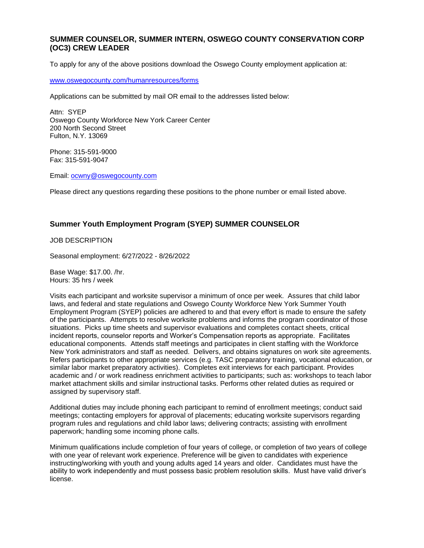## **SUMMER COUNSELOR, SUMMER INTERN, OSWEGO COUNTY CONSERVATION CORP (OC3) CREW LEADER**

To apply for any of the above positions download the Oswego County employment application at:

[www.oswegocounty.com/humanresources/forms](http://www.oswegocounty.com/humanresources/forms)

Applications can be submitted by mail OR email to the addresses listed below:

Attn: SYEP Oswego County Workforce New York Career Center 200 North Second Street Fulton, N.Y. 13069

Phone: 315-591-9000 Fax: 315-591-9047

Email: [ocwny@oswegocounty.com](mailto:ocwny@oswegocounty.com)

Please direct any questions regarding these positions to the phone number or email listed above.

## **Summer Youth Employment Program (SYEP) SUMMER COUNSELOR**

JOB DESCRIPTION

Seasonal employment: 6/27/2022 - 8/26/2022

Base Wage: \$17.00. /hr. Hours: 35 hrs / week

Visits each participant and worksite supervisor a minimum of once per week. Assures that child labor laws, and federal and state regulations and Oswego County Workforce New York Summer Youth Employment Program (SYEP) policies are adhered to and that every effort is made to ensure the safety of the participants. Attempts to resolve worksite problems and informs the program coordinator of those situations. Picks up time sheets and supervisor evaluations and completes contact sheets, critical incident reports, counselor reports and Worker's Compensation reports as appropriate. Facilitates educational components. Attends staff meetings and participates in client staffing with the Workforce New York administrators and staff as needed. Delivers, and obtains signatures on work site agreements. Refers participants to other appropriate services (e.g. TASC preparatory training, vocational education, or similar labor market preparatory activities). Completes exit interviews for each participant. Provides academic and / or work readiness enrichment activities to participants; such as: workshops to teach labor market attachment skills and similar instructional tasks. Performs other related duties as required or assigned by supervisory staff.

Additional duties may include phoning each participant to remind of enrollment meetings; conduct said meetings; contacting employers for approval of placements; educating worksite supervisors regarding program rules and regulations and child labor laws; delivering contracts; assisting with enrollment paperwork; handling some incoming phone calls.

Minimum qualifications include completion of four years of college, or completion of two years of college with one year of relevant work experience. Preference will be given to candidates with experience instructing/working with youth and young adults aged 14 years and older. Candidates must have the ability to work independently and must possess basic problem resolution skills. Must have valid driver's license.